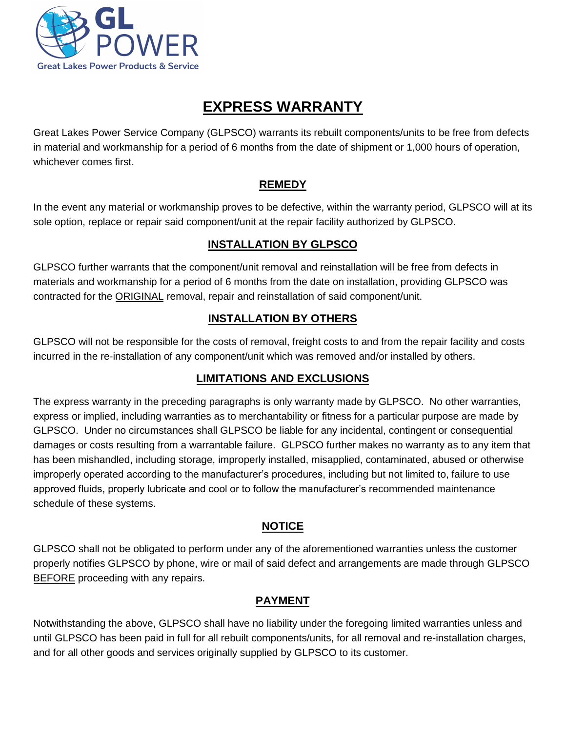

# **EXPRESS WARRANTY**

Great Lakes Power Service Company (GLPSCO) warrants its rebuilt components/units to be free from defects in material and workmanship for a period of 6 months from the date of shipment or 1,000 hours of operation, whichever comes first.

#### **REMEDY**

In the event any material or workmanship proves to be defective, within the warranty period, GLPSCO will at its sole option, replace or repair said component/unit at the repair facility authorized by GLPSCO.

## **INSTALLATION BY GLPSCO**

GLPSCO further warrants that the component/unit removal and reinstallation will be free from defects in materials and workmanship for a period of 6 months from the date on installation, providing GLPSCO was contracted for the ORIGINAL removal, repair and reinstallation of said component/unit.

## **INSTALLATION BY OTHERS**

GLPSCO will not be responsible for the costs of removal, freight costs to and from the repair facility and costs incurred in the re-installation of any component/unit which was removed and/or installed by others.

#### **LIMITATIONS AND EXCLUSIONS**

The express warranty in the preceding paragraphs is only warranty made by GLPSCO. No other warranties, express or implied, including warranties as to merchantability or fitness for a particular purpose are made by GLPSCO. Under no circumstances shall GLPSCO be liable for any incidental, contingent or consequential damages or costs resulting from a warrantable failure. GLPSCO further makes no warranty as to any item that has been mishandled, including storage, improperly installed, misapplied, contaminated, abused or otherwise improperly operated according to the manufacturer's procedures, including but not limited to, failure to use approved fluids, properly lubricate and cool or to follow the manufacturer's recommended maintenance schedule of these systems.

#### **NOTICE**

GLPSCO shall not be obligated to perform under any of the aforementioned warranties unless the customer properly notifies GLPSCO by phone, wire or mail of said defect and arrangements are made through GLPSCO BEFORE proceeding with any repairs.

#### **PAYMENT**

Notwithstanding the above, GLPSCO shall have no liability under the foregoing limited warranties unless and until GLPSCO has been paid in full for all rebuilt components/units, for all removal and re-installation charges, and for all other goods and services originally supplied by GLPSCO to its customer.